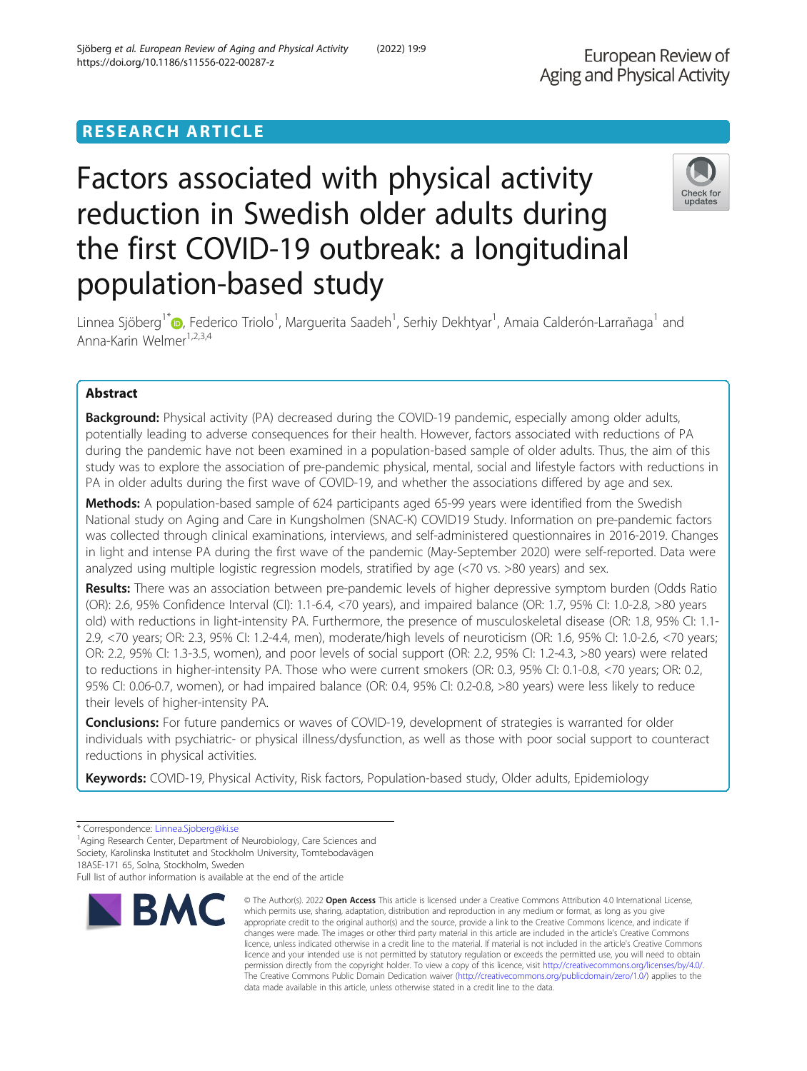# RESEARCH ARTICLE

# Factors associated with physical activity reduction in Swedish older adults during the first COVID-19 outbreak: a longitudinal population-based study



Linnea Sjöberg<sup>1[\\*](http://orcid.org/0000-0002-1621-1174)</sup>�, Federico Triolo<sup>1</sup>, Marguerita Saadeh<sup>1</sup>, Serhiy Dekhtyar<sup>1</sup>, Amaia Calderón-Larrañaga<sup>1</sup> and Anna-Karin Welmer<sup>1,2,3,4</sup>

# Abstract

**Background:** Physical activity (PA) decreased during the COVID-19 pandemic, especially among older adults, potentially leading to adverse consequences for their health. However, factors associated with reductions of PA during the pandemic have not been examined in a population-based sample of older adults. Thus, the aim of this study was to explore the association of pre-pandemic physical, mental, social and lifestyle factors with reductions in PA in older adults during the first wave of COVID-19, and whether the associations differed by age and sex.

Methods: A population-based sample of 624 participants aged 65-99 years were identified from the Swedish National study on Aging and Care in Kungsholmen (SNAC-K) COVID19 Study. Information on pre-pandemic factors was collected through clinical examinations, interviews, and self-administered questionnaires in 2016-2019. Changes in light and intense PA during the first wave of the pandemic (May-September 2020) were self-reported. Data were analyzed using multiple logistic regression models, stratified by age (<70 vs. >80 years) and sex.

Results: There was an association between pre-pandemic levels of higher depressive symptom burden (Odds Ratio (OR): 2.6, 95% Confidence Interval (CI): 1.1-6.4, <70 years), and impaired balance (OR: 1.7, 95% CI: 1.0-2.8, >80 years old) with reductions in light-intensity PA. Furthermore, the presence of musculoskeletal disease (OR: 1.8, 95% CI: 1.1- 2.9, <70 years; OR: 2.3, 95% CI: 1.2-4.4, men), moderate/high levels of neuroticism (OR: 1.6, 95% CI: 1.0-2.6, <70 years; OR: 2.2, 95% CI: 1.3-3.5, women), and poor levels of social support (OR: 2.2, 95% CI: 1.2-4.3, >80 years) were related to reductions in higher-intensity PA. Those who were current smokers (OR: 0.3, 95% CI: 0.1-0.8, <70 years; OR: 0.2, 95% CI: 0.06-0.7, women), or had impaired balance (OR: 0.4, 95% CI: 0.2-0.8, >80 years) were less likely to reduce their levels of higher-intensity PA.

**Conclusions:** For future pandemics or waves of COVID-19, development of strategies is warranted for older individuals with psychiatric- or physical illness/dysfunction, as well as those with poor social support to counteract reductions in physical activities.

Keywords: COVID-19, Physical Activity, Risk factors, Population-based study, Older adults, Epidemiology

Full list of author information is available at the end of the article



<sup>©</sup> The Author(s), 2022 **Open Access** This article is licensed under a Creative Commons Attribution 4.0 International License, which permits use, sharing, adaptation, distribution and reproduction in any medium or format, as long as you give appropriate credit to the original author(s) and the source, provide a link to the Creative Commons licence, and indicate if changes were made. The images or other third party material in this article are included in the article's Creative Commons licence, unless indicated otherwise in a credit line to the material. If material is not included in the article's Creative Commons licence and your intended use is not permitted by statutory regulation or exceeds the permitted use, you will need to obtain permission directly from the copyright holder. To view a copy of this licence, visit [http://creativecommons.org/licenses/by/4.0/.](http://creativecommons.org/licenses/by/4.0/) The Creative Commons Public Domain Dedication waiver [\(http://creativecommons.org/publicdomain/zero/1.0/](http://creativecommons.org/publicdomain/zero/1.0/)) applies to the data made available in this article, unless otherwise stated in a credit line to the data.

<sup>\*</sup> Correspondence: [Linnea.Sjoberg@ki.se](mailto:Linnea.Sjoberg@ki.se) <sup>1</sup>

<sup>&</sup>lt;sup>1</sup> Aging Research Center, Department of Neurobiology, Care Sciences and Society, Karolinska Institutet and Stockholm University, Tomtebodavägen 18ASE-171 65, Solna, Stockholm, Sweden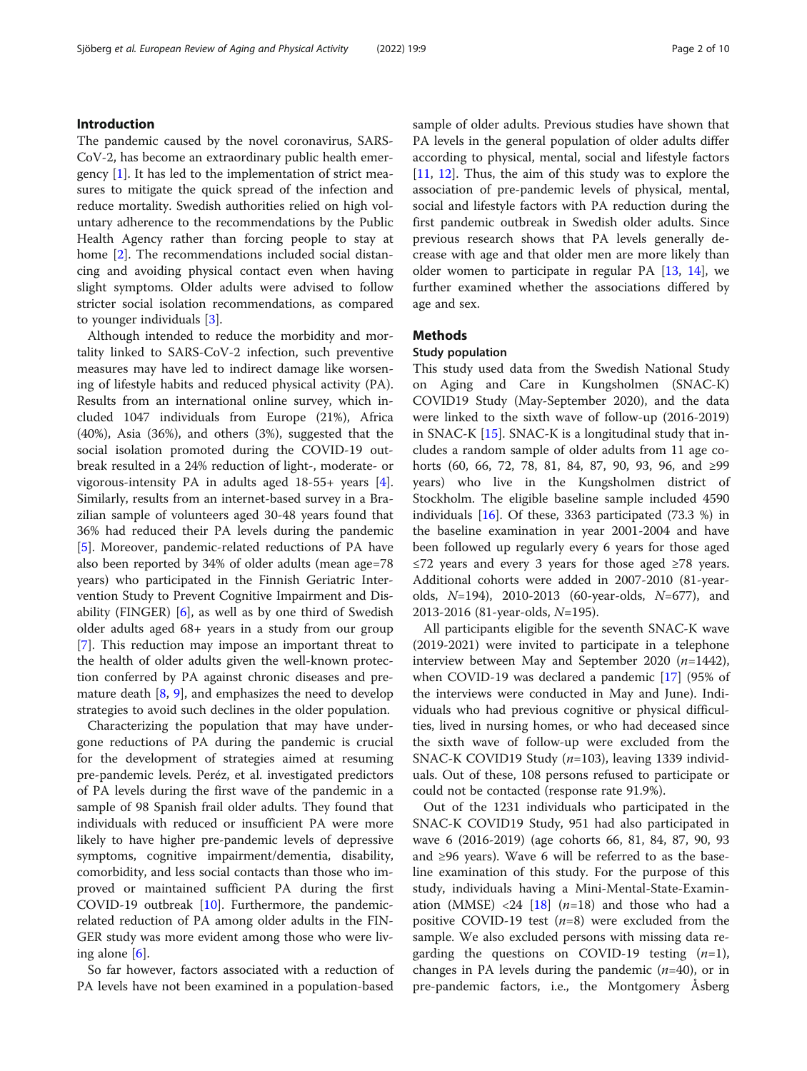# Introduction

The pandemic caused by the novel coronavirus, SARS-CoV-2, has become an extraordinary public health emergency  $[1]$  $[1]$ . It has led to the implementation of strict measures to mitigate the quick spread of the infection and reduce mortality. Swedish authorities relied on high voluntary adherence to the recommendations by the Public Health Agency rather than forcing people to stay at home [[2](#page-8-0)]. The recommendations included social distancing and avoiding physical contact even when having slight symptoms. Older adults were advised to follow stricter social isolation recommendations, as compared to younger individuals [\[3\]](#page-8-0).

Although intended to reduce the morbidity and mortality linked to SARS-CoV-2 infection, such preventive measures may have led to indirect damage like worsening of lifestyle habits and reduced physical activity (PA). Results from an international online survey, which included 1047 individuals from Europe (21%), Africa (40%), Asia (36%), and others (3%), suggested that the social isolation promoted during the COVID-19 outbreak resulted in a 24% reduction of light-, moderate- or vigorous-intensity PA in adults aged 18-55+ years [\[4](#page-8-0)]. Similarly, results from an internet-based survey in a Brazilian sample of volunteers aged 30-48 years found that 36% had reduced their PA levels during the pandemic [[5\]](#page-8-0). Moreover, pandemic-related reductions of PA have also been reported by 34% of older adults (mean age=78 years) who participated in the Finnish Geriatric Intervention Study to Prevent Cognitive Impairment and Disability (FINGER) [[6\]](#page-8-0), as well as by one third of Swedish older adults aged 68+ years in a study from our group [[7\]](#page-9-0). This reduction may impose an important threat to the health of older adults given the well-known protection conferred by PA against chronic diseases and premature death [[8,](#page-9-0) [9\]](#page-9-0), and emphasizes the need to develop strategies to avoid such declines in the older population.

Characterizing the population that may have undergone reductions of PA during the pandemic is crucial for the development of strategies aimed at resuming pre-pandemic levels. Peréz, et al. investigated predictors of PA levels during the first wave of the pandemic in a sample of 98 Spanish frail older adults. They found that individuals with reduced or insufficient PA were more likely to have higher pre-pandemic levels of depressive symptoms, cognitive impairment/dementia, disability, comorbidity, and less social contacts than those who improved or maintained sufficient PA during the first COVID-19 outbreak [[10](#page-9-0)]. Furthermore, the pandemicrelated reduction of PA among older adults in the FIN-GER study was more evident among those who were living alone  $[6]$  $[6]$ .

So far however, factors associated with a reduction of PA levels have not been examined in a population-based sample of older adults. Previous studies have shown that PA levels in the general population of older adults differ according to physical, mental, social and lifestyle factors [[11,](#page-9-0) [12](#page-9-0)]. Thus, the aim of this study was to explore the association of pre-pandemic levels of physical, mental, social and lifestyle factors with PA reduction during the first pandemic outbreak in Swedish older adults. Since previous research shows that PA levels generally decrease with age and that older men are more likely than older women to participate in regular PA [\[13,](#page-9-0) [14](#page-9-0)], we further examined whether the associations differed by age and sex.

# Methods

#### Study population

This study used data from the Swedish National Study on Aging and Care in Kungsholmen (SNAC-K) COVID19 Study (May-September 2020), and the data were linked to the sixth wave of follow-up (2016-2019) in SNAC-K [[15\]](#page-9-0). SNAC-K is a longitudinal study that includes a random sample of older adults from 11 age cohorts (60, 66, 72, 78, 81, 84, 87, 90, 93, 96, and ≥99 years) who live in the Kungsholmen district of Stockholm. The eligible baseline sample included 4590 individuals [[16\]](#page-9-0). Of these, 3363 participated (73.3 %) in the baseline examination in year 2001-2004 and have been followed up regularly every 6 years for those aged ≤72 years and every 3 years for those aged ≥78 years. Additional cohorts were added in 2007-2010 (81-yearolds,  $N=194$ ), 2010-2013 (60-year-olds,  $N=677$ ), and 2013-2016 (81-year-olds, N=195).

All participants eligible for the seventh SNAC-K wave (2019-2021) were invited to participate in a telephone interview between May and September 2020  $(n=1442)$ , when COVID-19 was declared a pandemic [\[17](#page-9-0)] (95% of the interviews were conducted in May and June). Individuals who had previous cognitive or physical difficulties, lived in nursing homes, or who had deceased since the sixth wave of follow-up were excluded from the SNAC-K COVID19 Study  $(n=103)$ , leaving 1339 individuals. Out of these, 108 persons refused to participate or could not be contacted (response rate 91.9%).

Out of the 1231 individuals who participated in the SNAC-K COVID19 Study, 951 had also participated in wave 6 (2016-2019) (age cohorts 66, 81, 84, 87, 90, 93 and ≥96 years). Wave 6 will be referred to as the baseline examination of this study. For the purpose of this study, individuals having a Mini-Mental-State-Examination (MMSE)  $\langle 24 \mid 18 \mid (n=18)$  and those who had a positive COVID-19 test  $(n=8)$  were excluded from the sample. We also excluded persons with missing data regarding the questions on COVID-19 testing  $(n=1)$ , changes in PA levels during the pandemic  $(n=40)$ , or in pre-pandemic factors, i.e., the Montgomery Åsberg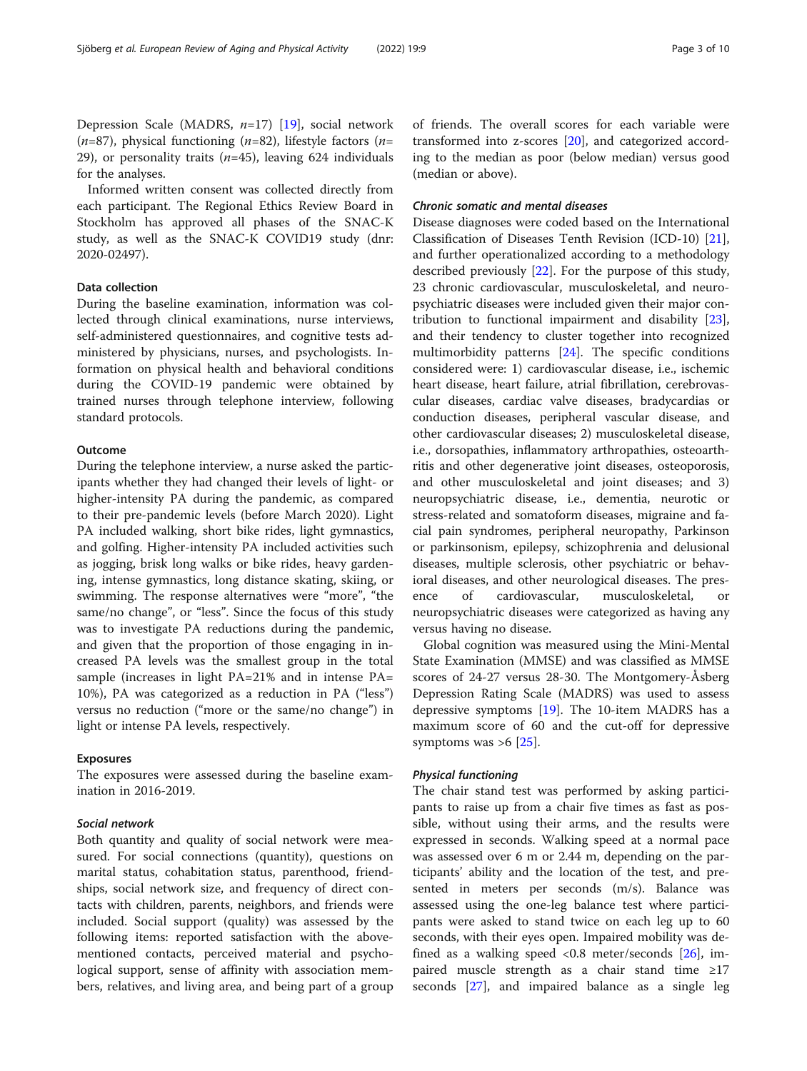Depression Scale (MADRS,  $n=17$ ) [\[19](#page-9-0)], social network  $(n=87)$ , physical functioning  $(n=82)$ , lifestyle factors  $(n=81)$ 29), or personality traits  $(n=45)$ , leaving 624 individuals for the analyses.

Informed written consent was collected directly from each participant. The Regional Ethics Review Board in Stockholm has approved all phases of the SNAC-K study, as well as the SNAC-K COVID19 study (dnr: 2020-02497).

# Data collection

During the baseline examination, information was collected through clinical examinations, nurse interviews, self-administered questionnaires, and cognitive tests administered by physicians, nurses, and psychologists. Information on physical health and behavioral conditions during the COVID-19 pandemic were obtained by trained nurses through telephone interview, following standard protocols.

# **Outcome**

During the telephone interview, a nurse asked the participants whether they had changed their levels of light- or higher-intensity PA during the pandemic, as compared to their pre-pandemic levels (before March 2020). Light PA included walking, short bike rides, light gymnastics, and golfing. Higher-intensity PA included activities such as jogging, brisk long walks or bike rides, heavy gardening, intense gymnastics, long distance skating, skiing, or swimming. The response alternatives were "more", "the same/no change", or "less". Since the focus of this study was to investigate PA reductions during the pandemic, and given that the proportion of those engaging in increased PA levels was the smallest group in the total sample (increases in light PA=21% and in intense PA= 10%), PA was categorized as a reduction in PA ("less") versus no reduction ("more or the same/no change") in light or intense PA levels, respectively.

# Exposures

The exposures were assessed during the baseline examination in 2016-2019.

## Social network

Both quantity and quality of social network were measured. For social connections (quantity), questions on marital status, cohabitation status, parenthood, friendships, social network size, and frequency of direct contacts with children, parents, neighbors, and friends were included. Social support (quality) was assessed by the following items: reported satisfaction with the abovementioned contacts, perceived material and psychological support, sense of affinity with association members, relatives, and living area, and being part of a group of friends. The overall scores for each variable were transformed into z-scores [\[20\]](#page-9-0), and categorized according to the median as poor (below median) versus good (median or above).

# Chronic somatic and mental diseases

Disease diagnoses were coded based on the International Classification of Diseases Tenth Revision (ICD-10) [\[21](#page-9-0)], and further operationalized according to a methodology described previously [\[22](#page-9-0)]. For the purpose of this study, 23 chronic cardiovascular, musculoskeletal, and neuropsychiatric diseases were included given their major contribution to functional impairment and disability [\[23](#page-9-0)], and their tendency to cluster together into recognized multimorbidity patterns [\[24](#page-9-0)]. The specific conditions considered were: 1) cardiovascular disease, i.e., ischemic heart disease, heart failure, atrial fibrillation, cerebrovascular diseases, cardiac valve diseases, bradycardias or conduction diseases, peripheral vascular disease, and other cardiovascular diseases; 2) musculoskeletal disease, i.e., dorsopathies, inflammatory arthropathies, osteoarthritis and other degenerative joint diseases, osteoporosis, and other musculoskeletal and joint diseases; and 3) neuropsychiatric disease, i.e., dementia, neurotic or stress-related and somatoform diseases, migraine and facial pain syndromes, peripheral neuropathy, Parkinson or parkinsonism, epilepsy, schizophrenia and delusional diseases, multiple sclerosis, other psychiatric or behavioral diseases, and other neurological diseases. The presence of cardiovascular, musculoskeletal, or neuropsychiatric diseases were categorized as having any versus having no disease.

Global cognition was measured using the Mini-Mental State Examination (MMSE) and was classified as MMSE scores of 24-27 versus 28-30. The Montgomery-Åsberg Depression Rating Scale (MADRS) was used to assess depressive symptoms [[19\]](#page-9-0). The 10-item MADRS has a maximum score of 60 and the cut-off for depressive symptoms was  $>6$  [[25\]](#page-9-0).

#### Physical functioning

The chair stand test was performed by asking participants to raise up from a chair five times as fast as possible, without using their arms, and the results were expressed in seconds. Walking speed at a normal pace was assessed over 6 m or 2.44 m, depending on the participants' ability and the location of the test, and presented in meters per seconds (m/s). Balance was assessed using the one-leg balance test where participants were asked to stand twice on each leg up to 60 seconds, with their eyes open. Impaired mobility was defined as a walking speed <0.8 meter/seconds  $[26]$  $[26]$  $[26]$ , impaired muscle strength as a chair stand time ≥17 seconds [[27\]](#page-9-0), and impaired balance as a single leg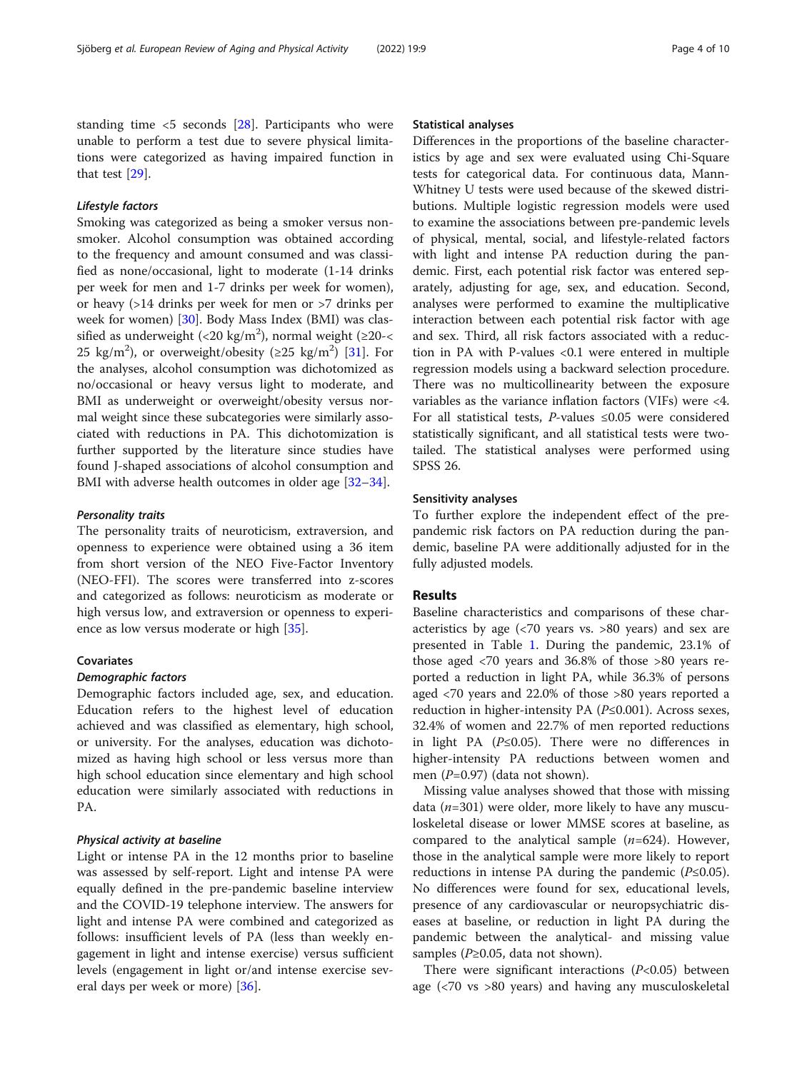standing time  $\leq$ 5 seconds [\[28](#page-9-0)]. Participants who were unable to perform a test due to severe physical limitations were categorized as having impaired function in that test [\[29](#page-9-0)].

#### Lifestyle factors

Smoking was categorized as being a smoker versus nonsmoker. Alcohol consumption was obtained according to the frequency and amount consumed and was classified as none/occasional, light to moderate (1-14 drinks per week for men and 1-7 drinks per week for women), or heavy (>14 drinks per week for men or >7 drinks per week for women) [\[30](#page-9-0)]. Body Mass Index (BMI) was classified as underweight (<20 kg/m<sup>2</sup>), normal weight (≥20-< 25 kg/m<sup>2</sup>), or overweight/obesity ( $\geq$ 25 kg/m<sup>2</sup>) [\[31](#page-9-0)]. For the analyses, alcohol consumption was dichotomized as no/occasional or heavy versus light to moderate, and BMI as underweight or overweight/obesity versus normal weight since these subcategories were similarly associated with reductions in PA. This dichotomization is further supported by the literature since studies have found J-shaped associations of alcohol consumption and BMI with adverse health outcomes in older age [[32](#page-9-0)–[34\]](#page-9-0).

# Personality traits

The personality traits of neuroticism, extraversion, and openness to experience were obtained using a 36 item from short version of the NEO Five-Factor Inventory (NEO-FFI). The scores were transferred into z-scores and categorized as follows: neuroticism as moderate or high versus low, and extraversion or openness to experience as low versus moderate or high [\[35](#page-9-0)].

#### Covariates

#### Demographic factors

Demographic factors included age, sex, and education. Education refers to the highest level of education achieved and was classified as elementary, high school, or university. For the analyses, education was dichotomized as having high school or less versus more than high school education since elementary and high school education were similarly associated with reductions in PA.

#### Physical activity at baseline

Light or intense PA in the 12 months prior to baseline was assessed by self-report. Light and intense PA were equally defined in the pre-pandemic baseline interview and the COVID-19 telephone interview. The answers for light and intense PA were combined and categorized as follows: insufficient levels of PA (less than weekly engagement in light and intense exercise) versus sufficient levels (engagement in light or/and intense exercise several days per week or more) [[36](#page-9-0)].

#### Statistical analyses

Differences in the proportions of the baseline characteristics by age and sex were evaluated using Chi-Square tests for categorical data. For continuous data, Mann-Whitney U tests were used because of the skewed distributions. Multiple logistic regression models were used to examine the associations between pre-pandemic levels of physical, mental, social, and lifestyle-related factors with light and intense PA reduction during the pandemic. First, each potential risk factor was entered separately, adjusting for age, sex, and education. Second, analyses were performed to examine the multiplicative interaction between each potential risk factor with age and sex. Third, all risk factors associated with a reduction in PA with P-values <0.1 were entered in multiple regression models using a backward selection procedure. There was no multicollinearity between the exposure variables as the variance inflation factors (VIFs) were <4. For all statistical tests, *P*-values ≤0.05 were considered statistically significant, and all statistical tests were twotailed. The statistical analyses were performed using SPSS 26.

#### Sensitivity analyses

To further explore the independent effect of the prepandemic risk factors on PA reduction during the pandemic, baseline PA were additionally adjusted for in the fully adjusted models.

#### Results

Baseline characteristics and comparisons of these characteristics by age (<70 years vs. >80 years) and sex are presented in Table [1.](#page-4-0) During the pandemic, 23.1% of those aged <70 years and 36.8% of those >80 years reported a reduction in light PA, while 36.3% of persons aged <70 years and 22.0% of those >80 years reported a reduction in higher-intensity PA (P≤0.001). Across sexes, 32.4% of women and 22.7% of men reported reductions in light PA ( $P \le 0.05$ ). There were no differences in higher-intensity PA reductions between women and men (P=0.97) (data not shown).

Missing value analyses showed that those with missing data  $(n=301)$  were older, more likely to have any musculoskeletal disease or lower MMSE scores at baseline, as compared to the analytical sample  $(n=624)$ . However, those in the analytical sample were more likely to report reductions in intense PA during the pandemic  $(P \le 0.05)$ . No differences were found for sex, educational levels, presence of any cardiovascular or neuropsychiatric diseases at baseline, or reduction in light PA during the pandemic between the analytical- and missing value samples ( $P \geq 0.05$ , data not shown).

There were significant interactions  $(P<0.05)$  between age (<70 vs >80 years) and having any musculoskeletal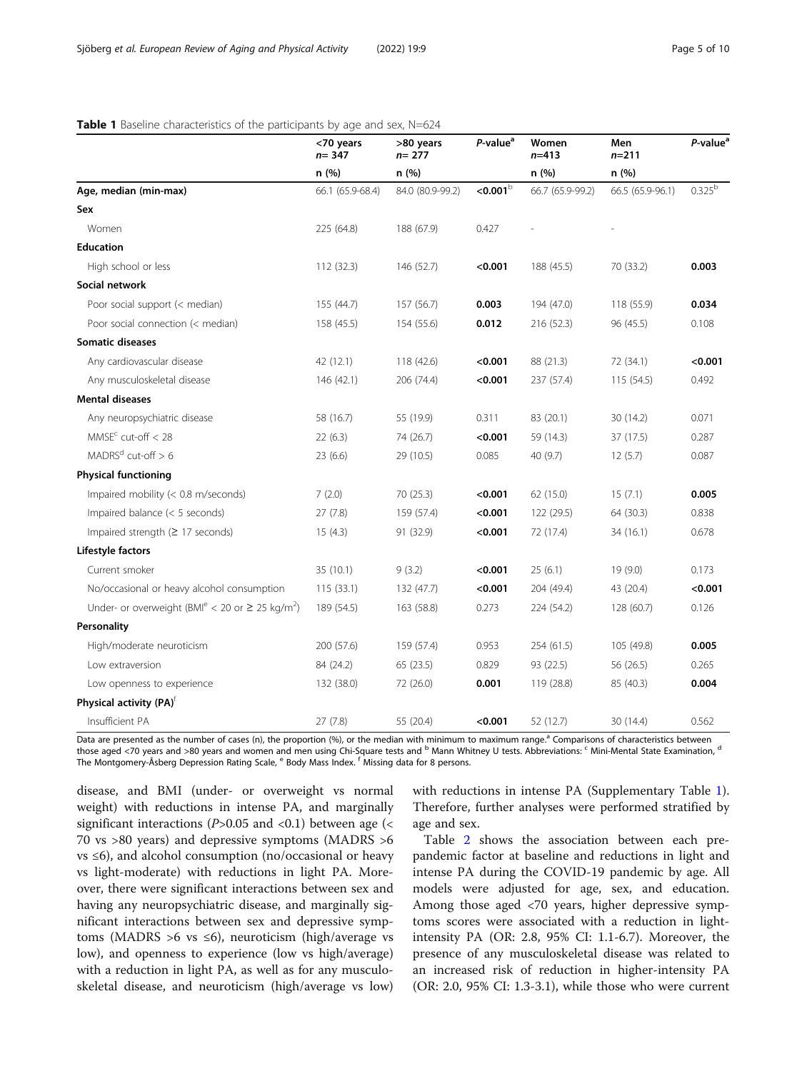# <span id="page-4-0"></span>Table 1 Baseline characteristics of the participants by age and sex, N=624

|                                                                              | <70 years<br>$n = 347$ | >80 years<br>$n = 277$ | P-value <sup>a</sup> | Women<br>$n = 413$ | Men<br>$n = 211$ | P-value <sup>a</sup> |
|------------------------------------------------------------------------------|------------------------|------------------------|----------------------|--------------------|------------------|----------------------|
|                                                                              | n (%)                  | n(%)                   |                      | n (%)              | n (%)            |                      |
| Age, median (min-max)                                                        | 66.1 (65.9-68.4)       | 84.0 (80.9-99.2)       | $<$ 0.001 $^{\rm b}$ | 66.7 (65.9-99.2)   | 66.5 (65.9-96.1) | $0.325^b$            |
| Sex                                                                          |                        |                        |                      |                    |                  |                      |
| Women                                                                        | 225 (64.8)             | 188 (67.9)             | 0.427                |                    |                  |                      |
| <b>Education</b>                                                             |                        |                        |                      |                    |                  |                      |
| High school or less                                                          | 112 (32.3)             | 146 (52.7)             | < 0.001              | 188 (45.5)         | 70 (33.2)        | 0.003                |
| Social network                                                               |                        |                        |                      |                    |                  |                      |
| Poor social support (< median)                                               | 155 (44.7)             | 157 (56.7)             | 0.003                | 194 (47.0)         | 118 (55.9)       | 0.034                |
| Poor social connection (< median)                                            | 158 (45.5)             | 154 (55.6)             | 0.012                | 216 (52.3)         | 96 (45.5)        | 0.108                |
| Somatic diseases                                                             |                        |                        |                      |                    |                  |                      |
| Any cardiovascular disease                                                   | 42 (12.1)              | 118 (42.6)             | < 0.001              | 88 (21.3)          | 72 (34.1)        | < 0.001              |
| Any musculoskeletal disease                                                  | 146 (42.1)             | 206 (74.4)             | < 0.001              | 237 (57.4)         | 115(54.5)        | 0.492                |
| <b>Mental diseases</b>                                                       |                        |                        |                      |                    |                  |                      |
| Any neuropsychiatric disease                                                 | 58 (16.7)              | 55 (19.9)              | 0.311                | 83 (20.1)          | 30 (14.2)        | 0.071                |
| $MMSEc$ cut-off $<$ 28                                                       | 22(6.3)                | 74 (26.7)              | < 0.001              | 59 (14.3)          | 37 (17.5)        | 0.287                |
| $MADRSd cut-off > 6$                                                         | 23(6.6)                | 29 (10.5)              | 0.085                | 40 (9.7)           | 12(5.7)          | 0.087                |
| <b>Physical functioning</b>                                                  |                        |                        |                      |                    |                  |                      |
| Impaired mobility (< 0.8 m/seconds)                                          | 7(2.0)                 | 70 (25.3)              | < 0.001              | 62 (15.0)          | 15(7.1)          | 0.005                |
| Impaired balance $(< 5$ seconds)                                             | 27(7.8)                | 159 (57.4)             | < 0.001              | 122 (29.5)         | 64 (30.3)        | 0.838                |
| Impaired strength ( $\geq$ 17 seconds)                                       | 15(4.3)                | 91 (32.9)              | < 0.001              | 72 (17.4)          | 34 (16.1)        | 0.678                |
| Lifestyle factors                                                            |                        |                        |                      |                    |                  |                      |
| Current smoker                                                               | 35 (10.1)              | 9(3.2)                 | < 0.001              | 25(6.1)            | 19 (9.0)         | 0.173                |
| No/occasional or heavy alcohol consumption                                   | 115(33.1)              | 132 (47.7)             | < 0.001              | 204 (49.4)         | 43 (20.4)        | < 0.001              |
| Under- or overweight (BMI <sup>e</sup> < 20 or $\geq$ 25 kg/m <sup>2</sup> ) | 189 (54.5)             | 163 (58.8)             | 0.273                | 224 (54.2)         | 128 (60.7)       | 0.126                |
| Personality                                                                  |                        |                        |                      |                    |                  |                      |
| High/moderate neuroticism                                                    | 200 (57.6)             | 159 (57.4)             | 0.953                | 254 (61.5)         | 105 (49.8)       | 0.005                |
| Low extraversion                                                             | 84 (24.2)              | 65 (23.5)              | 0.829                | 93 (22.5)          | 56 (26.5)        | 0.265                |
| Low openness to experience                                                   | 132 (38.0)             | 72 (26.0)              | 0.001                | 119 (28.8)         | 85 (40.3)        | 0.004                |
| Physical activity (PA) <sup>f</sup>                                          |                        |                        |                      |                    |                  |                      |
| Insufficient PA                                                              | 27(7.8)                | 55 (20.4)              | < 0.001              | 52 (12.7)          | 30 (14.4)        | 0.562                |

Data are presented as the number of cases (n), the proportion (%), or the median with minimum to maximum range.<sup>a</sup> Comparisons of characteristics between those aged <70 years and >80 years and women and men using Chi-Square tests and <sup>b</sup> Mann Whitney U tests. Abbreviations: <sup>c</sup> Mini-Mental State Examination, <sup>d</sup> The Montgomery-Åsberg Depression Rating Scale, <sup>e</sup> Body Mass Index. <sup>f</sup> Missing data for 8 persons.

disease, and BMI (under- or overweight vs normal weight) with reductions in intense PA, and marginally significant interactions ( $P > 0.05$  and  $\langle 0.1 \rangle$  between age ( $\langle$ 70 vs >80 years) and depressive symptoms (MADRS >6 vs ≤6), and alcohol consumption (no/occasional or heavy vs light-moderate) with reductions in light PA. Moreover, there were significant interactions between sex and having any neuropsychiatric disease, and marginally significant interactions between sex and depressive symptoms (MADRS >6 vs  $\leq 6$ ), neuroticism (high/average vs low), and openness to experience (low vs high/average) with a reduction in light PA, as well as for any musculoskeletal disease, and neuroticism (high/average vs low) with reductions in intense PA (Supplementary Table [1](#page-8-0)). Therefore, further analyses were performed stratified by age and sex.

Table [2](#page-5-0) shows the association between each prepandemic factor at baseline and reductions in light and intense PA during the COVID-19 pandemic by age. All models were adjusted for age, sex, and education. Among those aged <70 years, higher depressive symptoms scores were associated with a reduction in lightintensity PA (OR: 2.8, 95% CI: 1.1-6.7). Moreover, the presence of any musculoskeletal disease was related to an increased risk of reduction in higher-intensity PA (OR: 2.0, 95% CI: 1.3-3.1), while those who were current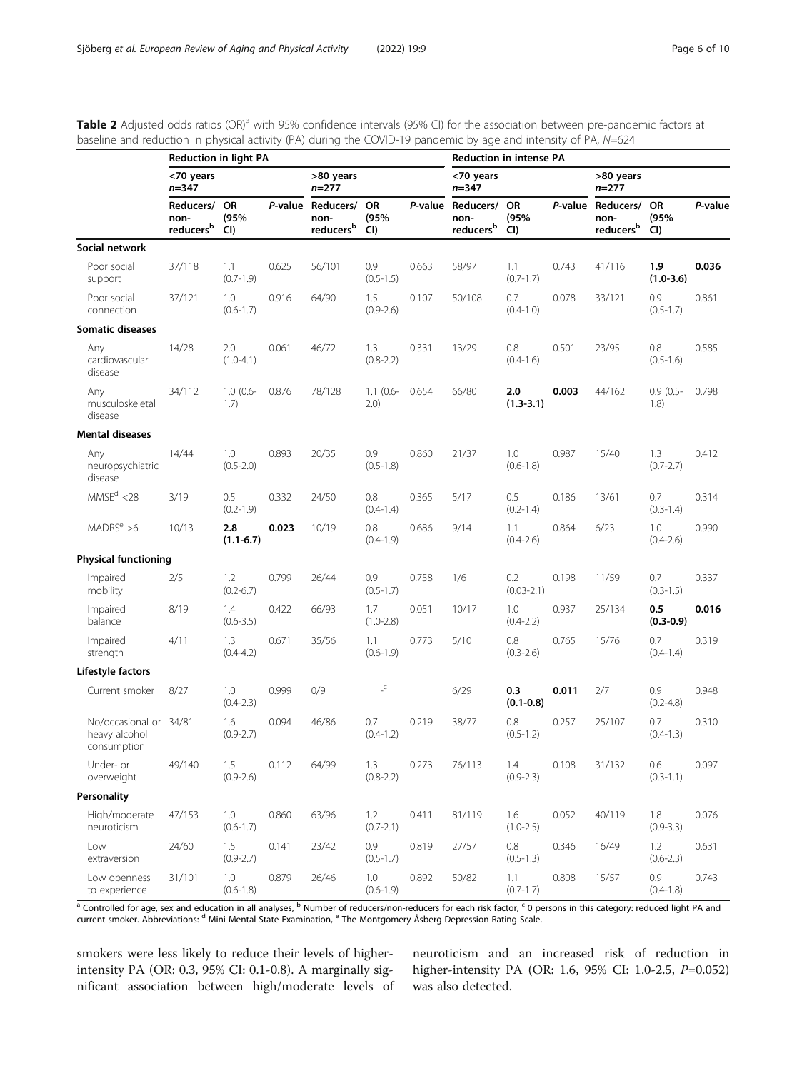<span id="page-5-0"></span>

| Table 2 Adjusted odds ratios (OR) <sup>a</sup> with 95% confidence intervals (95% CI) for the association between pre-pandemic factors at |  |
|-------------------------------------------------------------------------------------------------------------------------------------------|--|
| baseline and reduction in physical activity (PA) during the COVID-19 pandemic by age and intensity of PA, $N=624$                         |  |

|                                                        | <b>Reduction in light PA</b>               |                         |       |                                                    |                          |       | <b>Reduction in intense PA</b>                        |                          |       |                                           |                      |         |
|--------------------------------------------------------|--------------------------------------------|-------------------------|-------|----------------------------------------------------|--------------------------|-------|-------------------------------------------------------|--------------------------|-------|-------------------------------------------|----------------------|---------|
|                                                        | <70 years<br>n=347                         |                         |       | >80 years<br>$n = 277$                             |                          |       | <70 years<br>n=347                                    |                          |       | >80 years<br>$n = 277$                    |                      |         |
|                                                        | Reducers/<br>non-<br>reducers <sup>b</sup> | <b>OR</b><br>(95%<br>CI |       | P-value Reducers/<br>non-<br>reducers <sup>b</sup> | <b>OR</b><br>(95%<br>CI  |       | P-value Reducers/ OR<br>non-<br>reducers <sup>b</sup> | (95%<br>CI)              |       | P-value Reducers/ OR<br>non-<br>reducersb | (95%<br>CI)          | P-value |
| Social network                                         |                                            |                         |       |                                                    |                          |       |                                                       |                          |       |                                           |                      |         |
| Poor social<br>support                                 | 37/118                                     | 1.1<br>$(0.7 - 1.9)$    | 0.625 | 56/101                                             | 0.9<br>$(0.5 - 1.5)$     | 0.663 | 58/97                                                 | 1.1<br>$(0.7 - 1.7)$     | 0.743 | 41/116                                    | 1.9<br>$(1.0 - 3.6)$ | 0.036   |
| Poor social<br>connection                              | 37/121                                     | 1.0<br>$(0.6 - 1.7)$    | 0.916 | 64/90                                              | 1.5<br>$(0.9 - 2.6)$     | 0.107 | 50/108                                                | 0.7<br>$(0.4 - 1.0)$     | 0.078 | 33/121                                    | 0.9<br>$(0.5 - 1.7)$ | 0.861   |
| <b>Somatic diseases</b>                                |                                            |                         |       |                                                    |                          |       |                                                       |                          |       |                                           |                      |         |
| Any<br>cardiovascular<br>disease                       | 14/28                                      | 2.0<br>$(1.0 - 4.1)$    | 0.061 | 46/72                                              | 1.3<br>$(0.8 - 2.2)$     | 0.331 | 13/29                                                 | 0.8<br>$(0.4-1.6)$       | 0.501 | 23/95                                     | 0.8<br>$(0.5 - 1.6)$ | 0.585   |
| Any<br>musculoskeletal<br>disease                      | 34/112                                     | $1.0(0.6 -$<br>1.7)     | 0.876 | 78/128                                             | $1.1(0.6 -$<br>2.0)      | 0.654 | 66/80                                                 | 2.0<br>$(1.3 - 3.1)$     | 0.003 | 44/162                                    | $0.9(0.5 -$<br>1.8)  | 0.798   |
| <b>Mental diseases</b>                                 |                                            |                         |       |                                                    |                          |       |                                                       |                          |       |                                           |                      |         |
| Any<br>neuropsychiatric<br>disease                     | 14/44                                      | 1.0<br>$(0.5 - 2.0)$    | 0.893 | 20/35                                              | 0.9<br>$(0.5 - 1.8)$     | 0.860 | 21/37                                                 | 1.0<br>$(0.6 - 1.8)$     | 0.987 | 15/40                                     | 1.3<br>$(0.7 - 2.7)$ | 0.412   |
| MMSE <sup>d</sup> < 28                                 | 3/19                                       | 0.5<br>$(0.2 - 1.9)$    | 0.332 | 24/50                                              | 0.8<br>$(0.4 - 1.4)$     | 0.365 | 5/17                                                  | 0.5<br>$(0.2 - 1.4)$     | 0.186 | 13/61                                     | 0.7<br>$(0.3 - 1.4)$ | 0.314   |
| MADRS <sup>e</sup> > 6                                 | 10/13                                      | 2.8<br>$(1.1 - 6.7)$    | 0.023 | 10/19                                              | 0.8<br>$(0.4-1.9)$       | 0.686 | 9/14                                                  | 1.1<br>$(0.4 - 2.6)$     | 0.864 | 6/23                                      | 1.0<br>$(0.4 - 2.6)$ | 0.990   |
| <b>Physical functioning</b>                            |                                            |                         |       |                                                    |                          |       |                                                       |                          |       |                                           |                      |         |
| Impaired<br>mobility                                   | 2/5                                        | 1.2<br>$(0.2 - 6.7)$    | 0.799 | 26/44                                              | 0.9<br>$(0.5 - 1.7)$     | 0.758 | 1/6                                                   | 0.2<br>$(0.03 - 2.1)$    | 0.198 | 11/59                                     | 0.7<br>$(0.3 - 1.5)$ | 0.337   |
| Impaired<br>balance                                    | 8/19                                       | 1.4<br>$(0.6 - 3.5)$    | 0.422 | 66/93                                              | 1.7<br>$(1.0 - 2.8)$     | 0.051 | 10/17                                                 | 1.0<br>$(0.4 - 2.2)$     | 0.937 | 25/134                                    | 0.5<br>$(0.3 - 0.9)$ | 0.016   |
| Impaired<br>strength                                   | 4/11                                       | 1.3<br>$(0.4 - 4.2)$    | 0.671 | 35/56                                              | 1.1<br>$(0.6 - 1.9)$     | 0.773 | 5/10                                                  | 0.8<br>$(0.3 - 2.6)$     | 0.765 | 15/76                                     | 0.7<br>$(0.4 - 1.4)$ | 0.319   |
| Lifestyle factors                                      |                                            |                         |       |                                                    |                          |       |                                                       |                          |       |                                           |                      |         |
| Current smoker                                         | 8/27                                       | 1.0<br>$(0.4 - 2.3)$    | 0.999 | 0/9                                                | $\lrcorner^{\mathsf{C}}$ |       | 6/29                                                  | 0.3<br>$(0.1 - 0.8)$     | 0.011 | 2/7                                       | 0.9<br>$(0.2 - 4.8)$ | 0.948   |
| No/occasional or 34/81<br>heavy alcohol<br>consumption |                                            | 1.6<br>$(0.9 - 2.7)$    | 0.094 | 46/86                                              | 0.7<br>$(0.4-1.2)$       | 0.219 | 38/77                                                 | 0.8<br>$(0.5 - 1.2)$     | 0.257 | 25/107                                    | 0.7<br>$(0.4 - 1.3)$ | 0.310   |
| Under- or<br>overweight                                | 49/140                                     | 1.5<br>$(0.9 - 2.6)$    | 0.112 | 64/99                                              | 1.3<br>$(0.8 - 2.2)$     | 0.273 | 76/113                                                | 1.4<br>$(0.9 - 2.3)$     | 0.108 | 31/132                                    | 0.6<br>$(0.3 - 1.1)$ | 0.097   |
| Personality                                            |                                            |                         |       |                                                    |                          |       |                                                       |                          |       |                                           |                      |         |
| High/moderate<br>neuroticism                           | 47/153                                     | 1.0<br>$(0.6 - 1.7)$    | 0.860 | 63/96                                              | 1.2<br>$(0.7 - 2.1)$     | 0.411 | 81/119                                                | 1.6<br>$(1.0 - 2.5)$     | 0.052 | 40/119                                    | 1.8<br>$(0.9 - 3.3)$ | 0.076   |
| Low<br>extraversion                                    | 24/60                                      | 1.5<br>$(0.9 - 2.7)$    | 0.141 | 23/42                                              | 0.9<br>$(0.5 - 1.7)$     | 0.819 | 27/57                                                 | $0.8\,$<br>$(0.5 - 1.3)$ | 0.346 | 16/49                                     | 1.2<br>$(0.6 - 2.3)$ | 0.631   |
| Low openness<br>to experience                          | 31/101                                     | 1.0<br>$(0.6 - 1.8)$    | 0.879 | 26/46                                              | 1.0<br>$(0.6 - 1.9)$     | 0.892 | 50/82                                                 | 1.1<br>$(0.7 - 1.7)$     | 0.808 | 15/57                                     | 0.9<br>$(0.4 - 1.8)$ | 0.743   |

 $^{\rm a}$  Controlled for age, sex and education in all analyses,  $^{\rm b}$  Number of reducers/non-reducers for each risk factor,  $^{\rm c}$  0 persons in this category: reduced light PA and current smoker. Abbreviations: <sup>d</sup> Mini-Mental State Examination, <sup>e</sup> The Montgomery-Åsberg Depression Rating Scale.

smokers were less likely to reduce their levels of higherintensity PA (OR: 0.3, 95% CI: 0.1-0.8). A marginally significant association between high/moderate levels of neuroticism and an increased risk of reduction in higher-intensity PA (OR: 1.6, 95% CI: 1.0-2.5, P=0.052) was also detected.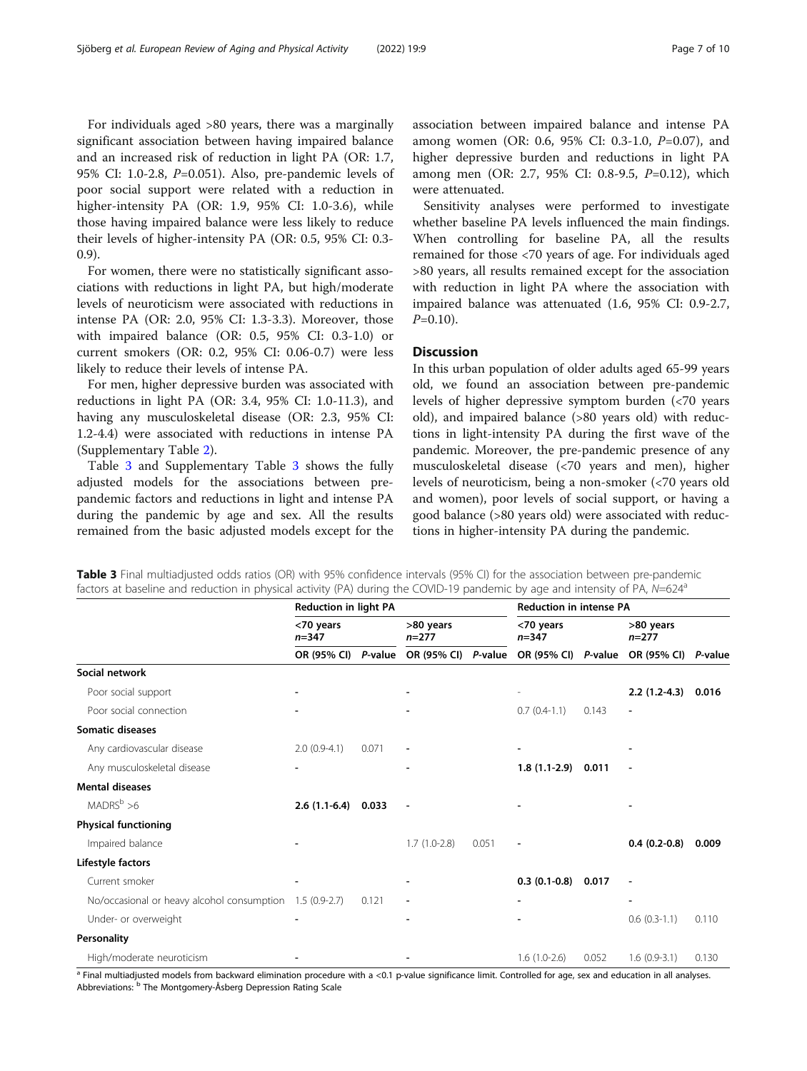For individuals aged >80 years, there was a marginally significant association between having impaired balance and an increased risk of reduction in light PA (OR: 1.7, 95% CI: 1.0-2.8, P=0.051). Also, pre-pandemic levels of poor social support were related with a reduction in higher-intensity PA (OR: 1.9, 95% CI: 1.0-3.6), while those having impaired balance were less likely to reduce their levels of higher-intensity PA (OR: 0.5, 95% CI: 0.3- 0.9).

For women, there were no statistically significant associations with reductions in light PA, but high/moderate levels of neuroticism were associated with reductions in intense PA (OR: 2.0, 95% CI: 1.3-3.3). Moreover, those with impaired balance (OR: 0.5, 95% CI: 0.3-1.0) or current smokers (OR: 0.2, 95% CI: 0.06-0.7) were less likely to reduce their levels of intense PA.

For men, higher depressive burden was associated with reductions in light PA (OR: 3.4, 95% CI: 1.0-11.3), and having any musculoskeletal disease (OR: 2.3, 95% CI: 1.2-4.4) were associated with reductions in intense PA (Supplementary Table [2\)](#page-8-0).

Table 3 and Supplementary Table [3](#page-8-0) shows the fully adjusted models for the associations between prepandemic factors and reductions in light and intense PA during the pandemic by age and sex. All the results remained from the basic adjusted models except for the association between impaired balance and intense PA among women (OR: 0.6, 95% CI: 0.3-1.0, P=0.07), and higher depressive burden and reductions in light PA among men (OR: 2.7, 95% CI: 0.8-9.5, P=0.12), which were attenuated.

Sensitivity analyses were performed to investigate whether baseline PA levels influenced the main findings. When controlling for baseline PA, all the results remained for those <70 years of age. For individuals aged >80 years, all results remained except for the association with reduction in light PA where the association with impaired balance was attenuated (1.6, 95% CI: 0.9-2.7,  $P=0.10$ ).

# **Discussion**

In this urban population of older adults aged 65-99 years old, we found an association between pre-pandemic levels of higher depressive symptom burden (<70 years old), and impaired balance (>80 years old) with reductions in light-intensity PA during the first wave of the pandemic. Moreover, the pre-pandemic presence of any musculoskeletal disease (<70 years and men), higher levels of neuroticism, being a non-smoker (<70 years old and women), poor levels of social support, or having a good balance (>80 years old) were associated with reductions in higher-intensity PA during the pandemic.

| Table 3 Final multiadjusted odds ratios (OR) with 95% confidence intervals (95% CI) for the association between pre-pandemic   |  |  |  |  |
|--------------------------------------------------------------------------------------------------------------------------------|--|--|--|--|
| factors at baseline and reduction in physical activity (PA) during the COVID-19 pandemic by age and intensity of PA, $N=624^a$ |  |  |  |  |

|                                            | <b>Reduction in light PA</b> |         | <b>Reduction in intense PA</b> |       |                          |         |                      |       |
|--------------------------------------------|------------------------------|---------|--------------------------------|-------|--------------------------|---------|----------------------|-------|
|                                            | <70 years<br>$n = 347$       |         | >80 years<br>$n = 277$         |       | <70 years<br>$n = 347$   |         | >80 years<br>$n=277$ |       |
|                                            | OR (95% CI)                  | P-value | OR (95% CI) P-value            |       | OR (95% CI)              | P-value | OR (95% CI) P-value  |       |
| Social network                             |                              |         |                                |       |                          |         |                      |       |
| Poor social support                        |                              |         |                                |       |                          |         | $2.2(1.2-4.3)$       | 0.016 |
| Poor social connection                     |                              |         | $\overline{\phantom{a}}$       |       | $0.7(0.4-1.1)$           | 0.143   | ÷,                   |       |
| <b>Somatic diseases</b>                    |                              |         |                                |       |                          |         |                      |       |
| Any cardiovascular disease                 | $2.0(0.9-4.1)$               | 0.071   | $\overline{\phantom{a}}$       |       | $\overline{\phantom{a}}$ |         |                      |       |
| Any musculoskeletal disease                |                              |         | -                              |       | $1.8(1.1-2.9)$           | 0.011   | ÷,                   |       |
| <b>Mental diseases</b>                     |                              |         |                                |       |                          |         |                      |       |
| $MADRS^b > 6$                              | $2.6(1.1-6.4)$               | 0.033   |                                |       |                          |         |                      |       |
| <b>Physical functioning</b>                |                              |         |                                |       |                          |         |                      |       |
| Impaired balance                           |                              |         | $1.7(1.0-2.8)$                 | 0.051 | ٠                        |         | $0.4(0.2-0.8)$       | 0.009 |
| Lifestyle factors                          |                              |         |                                |       |                          |         |                      |       |
| Current smoker                             |                              |         |                                |       | $0.3(0.1-0.8)$           | 0.017   |                      |       |
| No/occasional or heavy alcohol consumption | $1.5(0.9-2.7)$               | 0.121   | $\overline{\phantom{a}}$       |       |                          |         |                      |       |
| Under- or overweight                       |                              |         |                                |       |                          |         | $0.6(0.3-1.1)$       | 0.110 |
| Personality                                |                              |         |                                |       |                          |         |                      |       |
| High/moderate neuroticism                  |                              |         |                                |       | $1.6(1.0-2.6)$           | 0.052   | $1.6(0.9-3.1)$       | 0.130 |

<sup>a</sup> Final multiadjusted models from backward elimination procedure with a <0.1 p-value significance limit. Controlled for age, sex and education in all analyses. Abbreviations: <sup>b</sup> The Montgomery-Åsberg Depression Rating Scale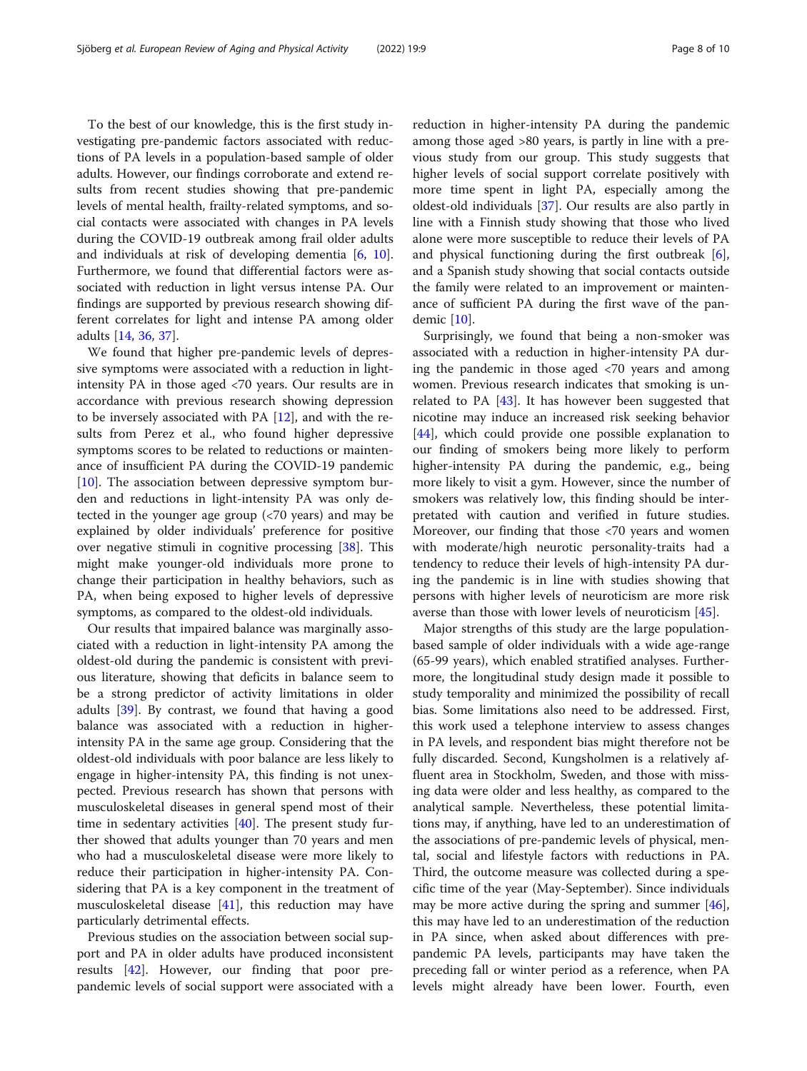To the best of our knowledge, this is the first study investigating pre-pandemic factors associated with reductions of PA levels in a population-based sample of older adults. However, our findings corroborate and extend results from recent studies showing that pre-pandemic levels of mental health, frailty-related symptoms, and social contacts were associated with changes in PA levels during the COVID-19 outbreak among frail older adults and individuals at risk of developing dementia [[6,](#page-8-0) [10](#page-9-0)]. Furthermore, we found that differential factors were associated with reduction in light versus intense PA. Our findings are supported by previous research showing different correlates for light and intense PA among older adults [\[14](#page-9-0), [36,](#page-9-0) [37\]](#page-9-0).

We found that higher pre-pandemic levels of depressive symptoms were associated with a reduction in lightintensity PA in those aged <70 years. Our results are in accordance with previous research showing depression to be inversely associated with PA [[12\]](#page-9-0), and with the results from Perez et al., who found higher depressive symptoms scores to be related to reductions or maintenance of insufficient PA during the COVID-19 pandemic  $[10]$  $[10]$ . The association between depressive symptom burden and reductions in light-intensity PA was only detected in the younger age group (<70 years) and may be explained by older individuals' preference for positive over negative stimuli in cognitive processing [[38\]](#page-9-0). This might make younger-old individuals more prone to change their participation in healthy behaviors, such as PA, when being exposed to higher levels of depressive symptoms, as compared to the oldest-old individuals.

Our results that impaired balance was marginally associated with a reduction in light-intensity PA among the oldest-old during the pandemic is consistent with previous literature, showing that deficits in balance seem to be a strong predictor of activity limitations in older adults [\[39\]](#page-9-0). By contrast, we found that having a good balance was associated with a reduction in higherintensity PA in the same age group. Considering that the oldest-old individuals with poor balance are less likely to engage in higher-intensity PA, this finding is not unexpected. Previous research has shown that persons with musculoskeletal diseases in general spend most of their time in sedentary activities [\[40\]](#page-9-0). The present study further showed that adults younger than 70 years and men who had a musculoskeletal disease were more likely to reduce their participation in higher-intensity PA. Considering that PA is a key component in the treatment of musculoskeletal disease  $[41]$ , this reduction may have particularly detrimental effects.

Previous studies on the association between social support and PA in older adults have produced inconsistent results [\[42](#page-9-0)]. However, our finding that poor prepandemic levels of social support were associated with a

reduction in higher-intensity PA during the pandemic among those aged >80 years, is partly in line with a previous study from our group. This study suggests that higher levels of social support correlate positively with more time spent in light PA, especially among the oldest-old individuals [[37](#page-9-0)]. Our results are also partly in line with a Finnish study showing that those who lived alone were more susceptible to reduce their levels of PA and physical functioning during the first outbreak [\[6](#page-8-0)], and a Spanish study showing that social contacts outside the family were related to an improvement or maintenance of sufficient PA during the first wave of the pandemic [[10](#page-9-0)].

Surprisingly, we found that being a non-smoker was associated with a reduction in higher-intensity PA during the pandemic in those aged <70 years and among women. Previous research indicates that smoking is unrelated to PA [\[43\]](#page-9-0). It has however been suggested that nicotine may induce an increased risk seeking behavior [[44\]](#page-9-0), which could provide one possible explanation to our finding of smokers being more likely to perform higher-intensity PA during the pandemic, e.g., being more likely to visit a gym. However, since the number of smokers was relatively low, this finding should be interpretated with caution and verified in future studies. Moreover, our finding that those <70 years and women with moderate/high neurotic personality-traits had a tendency to reduce their levels of high-intensity PA during the pandemic is in line with studies showing that persons with higher levels of neuroticism are more risk averse than those with lower levels of neuroticism [[45\]](#page-9-0).

Major strengths of this study are the large populationbased sample of older individuals with a wide age-range (65-99 years), which enabled stratified analyses. Furthermore, the longitudinal study design made it possible to study temporality and minimized the possibility of recall bias. Some limitations also need to be addressed. First, this work used a telephone interview to assess changes in PA levels, and respondent bias might therefore not be fully discarded. Second, Kungsholmen is a relatively affluent area in Stockholm, Sweden, and those with missing data were older and less healthy, as compared to the analytical sample. Nevertheless, these potential limitations may, if anything, have led to an underestimation of the associations of pre-pandemic levels of physical, mental, social and lifestyle factors with reductions in PA. Third, the outcome measure was collected during a specific time of the year (May-September). Since individuals may be more active during the spring and summer [\[46](#page-9-0)], this may have led to an underestimation of the reduction in PA since, when asked about differences with prepandemic PA levels, participants may have taken the preceding fall or winter period as a reference, when PA levels might already have been lower. Fourth, even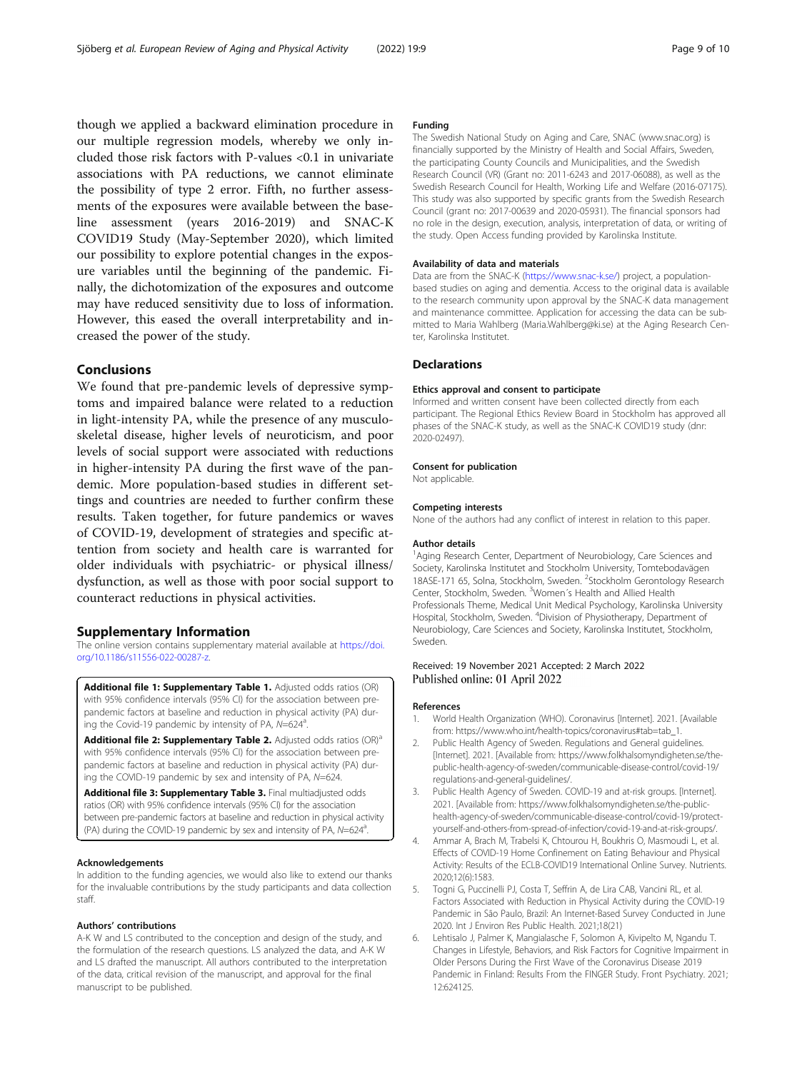<span id="page-8-0"></span>though we applied a backward elimination procedure in our multiple regression models, whereby we only included those risk factors with P-values <0.1 in univariate associations with PA reductions, we cannot eliminate the possibility of type 2 error. Fifth, no further assessments of the exposures were available between the baseline assessment (years 2016-2019) and SNAC-K COVID19 Study (May-September 2020), which limited our possibility to explore potential changes in the exposure variables until the beginning of the pandemic. Finally, the dichotomization of the exposures and outcome may have reduced sensitivity due to loss of information. However, this eased the overall interpretability and increased the power of the study.

# Conclusions

We found that pre-pandemic levels of depressive symptoms and impaired balance were related to a reduction in light-intensity PA, while the presence of any musculoskeletal disease, higher levels of neuroticism, and poor levels of social support were associated with reductions in higher-intensity PA during the first wave of the pandemic. More population-based studies in different settings and countries are needed to further confirm these results. Taken together, for future pandemics or waves of COVID-19, development of strategies and specific attention from society and health care is warranted for older individuals with psychiatric- or physical illness/ dysfunction, as well as those with poor social support to counteract reductions in physical activities.

#### Supplementary Information

The online version contains supplementary material available at [https://doi.](https://doi.org/10.1186/s11556-022-00287-z) [org/10.1186/s11556-022-00287-z.](https://doi.org/10.1186/s11556-022-00287-z)

Additional file 1: Supplementary Table 1. Adjusted odds ratios (OR) with 95% confidence intervals (95% CI) for the association between prepandemic factors at baseline and reduction in physical activity (PA) during the Covid-19 pandemic by intensity of PA,  $N=624^a$ . .

Additional file 2: Supplementary Table 2. Adjusted odds ratios (OR)<sup>a</sup> with 95% confidence intervals (95% CI) for the association between prepandemic factors at baseline and reduction in physical activity (PA) during the COVID-19 pandemic by sex and intensity of PA, N=624.

Additional file 3: Supplementary Table 3. Final multiadjusted odds ratios (OR) with 95% confidence intervals (95% CI) for the association between pre-pandemic factors at baseline and reduction in physical activity (PA) during the COVID-19 pandemic by sex and intensity of PA,  $N=624^a$ . .

#### Acknowledgements

In addition to the funding agencies, we would also like to extend our thanks for the invaluable contributions by the study participants and data collection staff.

#### Authors' contributions

A-K W and LS contributed to the conception and design of the study, and the formulation of the research questions. LS analyzed the data, and A-K W and LS drafted the manuscript. All authors contributed to the interpretation of the data, critical revision of the manuscript, and approval for the final manuscript to be published.

#### Funding

The Swedish National Study on Aging and Care, SNAC (www.snac.org) is financially supported by the Ministry of Health and Social Affairs, Sweden, the participating County Councils and Municipalities, and the Swedish Research Council (VR) (Grant no: 2011-6243 and 2017-06088), as well as the Swedish Research Council for Health, Working Life and Welfare (2016-07175). This study was also supported by specific grants from the Swedish Research Council (grant no: 2017-00639 and 2020-05931). The financial sponsors had no role in the design, execution, analysis, interpretation of data, or writing of the study. Open Access funding provided by Karolinska Institute.

## Availability of data and materials

Data are from the SNAC-K ([https://www.snac-k.se/\)](https://www.snac-k.se/) project, a populationbased studies on aging and dementia. Access to the original data is available to the research community upon approval by the SNAC-K data management and maintenance committee. Application for accessing the data can be submitted to Maria Wahlberg (Maria.Wahlberg@ki.se) at the Aging Research Center, Karolinska Institutet.

#### **Declarations**

#### Ethics approval and consent to participate

Informed and written consent have been collected directly from each participant. The Regional Ethics Review Board in Stockholm has approved all phases of the SNAC-K study, as well as the SNAC-K COVID19 study (dnr: 2020-02497).

#### Consent for publication

Not applicable.

#### Competing interests

None of the authors had any conflict of interest in relation to this paper.

#### Author details

<sup>1</sup> Aging Research Center, Department of Neurobiology, Care Sciences and Society, Karolinska Institutet and Stockholm University, Tomtebodavägen 18ASE-171 65, Solna, Stockholm, Sweden. <sup>2</sup>Stockholm Gerontology Research Center, Stockholm, Sweden. <sup>3</sup>Women's Health and Allied Health Professionals Theme, Medical Unit Medical Psychology, Karolinska University Hospital, Stockholm, Sweden. <sup>4</sup> Division of Physiotherapy, Department of Neurobiology, Care Sciences and Society, Karolinska Institutet, Stockholm, Sweden.

#### Received: 19 November 2021 Accepted: 2 March 2022 Published online: 01 April 2022

#### References

- 1. World Health Organization (WHO). Coronavirus [Internet]. 2021. [Available from: https://www.who.int/health-topics/coronavirus#tab=tab\_1.
- 2. Public Health Agency of Sweden. Regulations and General guidelines. [Internet]. 2021. [Available from: https://www.folkhalsomyndigheten.se/thepublic-health-agency-of-sweden/communicable-disease-control/covid-19/ regulations-and-general-guidelines/.
- 3. Public Health Agency of Sweden. COVID-19 and at-risk groups. [Internet]. 2021. [Available from: https://www.folkhalsomyndigheten.se/the-publichealth-agency-of-sweden/communicable-disease-control/covid-19/protectyourself-and-others-from-spread-of-infection/covid-19-and-at-risk-groups/.
- 4. Ammar A, Brach M, Trabelsi K, Chtourou H, Boukhris O, Masmoudi L, et al. Effects of COVID-19 Home Confinement on Eating Behaviour and Physical Activity: Results of the ECLB-COVID19 International Online Survey. Nutrients. 2020;12(6):1583.
- 5. Togni G, Puccinelli PJ, Costa T, Seffrin A, de Lira CAB, Vancini RL, et al. Factors Associated with Reduction in Physical Activity during the COVID-19 Pandemic in São Paulo, Brazil: An Internet-Based Survey Conducted in June 2020. Int J Environ Res Public Health. 2021;18(21)
- 6. Lehtisalo J, Palmer K, Mangialasche F, Solomon A, Kivipelto M, Ngandu T. Changes in Lifestyle, Behaviors, and Risk Factors for Cognitive Impairment in Older Persons During the First Wave of the Coronavirus Disease 2019 Pandemic in Finland: Results From the FINGER Study. Front Psychiatry. 2021; 12:624125.